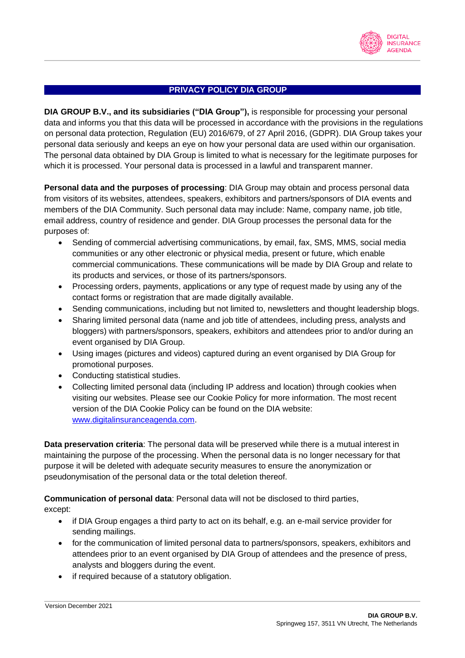

## **PRIVACY POLICY DIA GROUP**

**DIA GROUP B.V., and its subsidiaries ("DIA Group"),** is responsible for processing your personal data and informs you that this data will be processed in accordance with the provisions in the regulations on personal data protection, Regulation (EU) 2016/679, of 27 April 2016, (GDPR). DIA Group takes your personal data seriously and keeps an eye on how your personal data are used within our organisation. The personal data obtained by DIA Group is limited to what is necessary for the legitimate purposes for which it is processed. Your personal data is processed in a lawful and transparent manner.

**Personal data and the purposes of processing**: DIA Group may obtain and process personal data from visitors of its websites, attendees, speakers, exhibitors and partners/sponsors of DIA events and members of the DIA Community. Such personal data may include: Name, company name, job title, email address, country of residence and gender. DIA Group processes the personal data for the purposes of:

- Sending of commercial advertising communications, by email, fax, SMS, MMS, social media communities or any other electronic or physical media, present or future, which enable commercial communications. These communications will be made by DIA Group and relate to its products and services, or those of its partners/sponsors.
- Processing orders, payments, applications or any type of request made by using any of the contact forms or registration that are made digitally available.
- Sending communications, including but not limited to, newsletters and thought leadership blogs.
- Sharing limited personal data (name and job title of attendees, including press, analysts and bloggers) with partners/sponsors, speakers, exhibitors and attendees prior to and/or during an event organised by DIA Group.
- Using images (pictures and videos) captured during an event organised by DIA Group for promotional purposes.
- Conducting statistical studies.
- Collecting limited personal data (including IP address and location) through cookies when visiting our websites. Please see our Cookie Policy for more information. The most recent version of the DIA Cookie Policy can be found on the DIA website: [www.digitalinsuranceagenda.com.](http://www.digitalinsuranceagenda.com/)

**Data preservation criteria**: The personal data will be preserved while there is a mutual interest in maintaining the purpose of the processing. When the personal data is no longer necessary for that purpose it will be deleted with adequate security measures to ensure the anonymization or pseudonymisation of the personal data or the total deletion thereof.

**Communication of personal data**: Personal data will not be disclosed to third parties,

except:

- if DIA Group engages a third party to act on its behalf, e.g. an e-mail service provider for sending mailings.
- for the communication of limited personal data to partners/sponsors, speakers, exhibitors and attendees prior to an event organised by DIA Group of attendees and the presence of press, analysts and bloggers during the event.
- if required because of a statutory obligation.